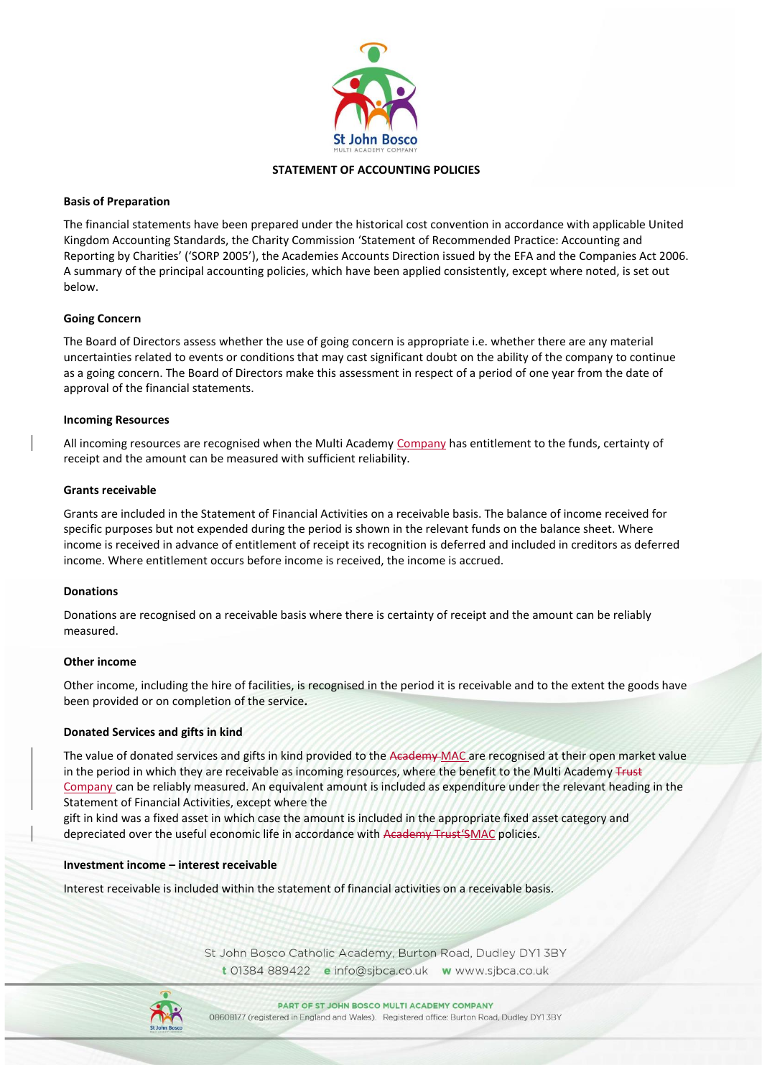

# **STATEMENT OF ACCOUNTING POLICIES**

### **Basis of Preparation**

The financial statements have been prepared under the historical cost convention in accordance with applicable United Kingdom Accounting Standards, the Charity Commission 'Statement of Recommended Practice: Accounting and Reporting by Charities' ('SORP 2005'), the Academies Accounts Direction issued by the EFA and the Companies Act 2006. A summary of the principal accounting policies, which have been applied consistently, except where noted, is set out below.

# **Going Concern**

The Board of Directors assess whether the use of going concern is appropriate i.e. whether there are any material uncertainties related to events or conditions that may cast significant doubt on the ability of the company to continue as a going concern. The Board of Directors make this assessment in respect of a period of one year from the date of approval of the financial statements.

## **Incoming Resources**

All incoming resources are recognised when the Multi Academy Company has entitlement to the funds, certainty of receipt and the amount can be measured with sufficient reliability.

## **Grants receivable**

Grants are included in the Statement of Financial Activities on a receivable basis. The balance of income received for specific purposes but not expended during the period is shown in the relevant funds on the balance sheet. Where income is received in advance of entitlement of receipt its recognition is deferred and included in creditors as deferred income. Where entitlement occurs before income is received, the income is accrued.

#### **Donations**

Donations are recognised on a receivable basis where there is certainty of receipt and the amount can be reliably measured.

#### **Other income**

Other income, including the hire of facilities, is recognised in the period it is receivable and to the extent the goods have been provided or on completion of the service*.* 

#### **Donated Services and gifts in kind**

The value of donated services and gifts in kind provided to the Academy-MAC are recognised at their open market value in the period in which they are receivable as incoming resources, where the benefit to the Multi Academy Trust Company can be reliably measured. An equivalent amount is included as expenditure under the relevant heading in the Statement of Financial Activities, except where the

gift in kind was a fixed asset in which case the amount is included in the appropriate fixed asset category and depreciated over the useful economic life in accordance with Academy Trust'SMAC policies.

#### **Investment income – interest receivable**

Interest receivable is included within the statement of financial activities on a receivable basis.

St John Bosco Catholic Academy, Burton Road, Dudley DY1 3BY t 01384 889422 e info@sjbca.co.uk w www.sjbca.co.uk

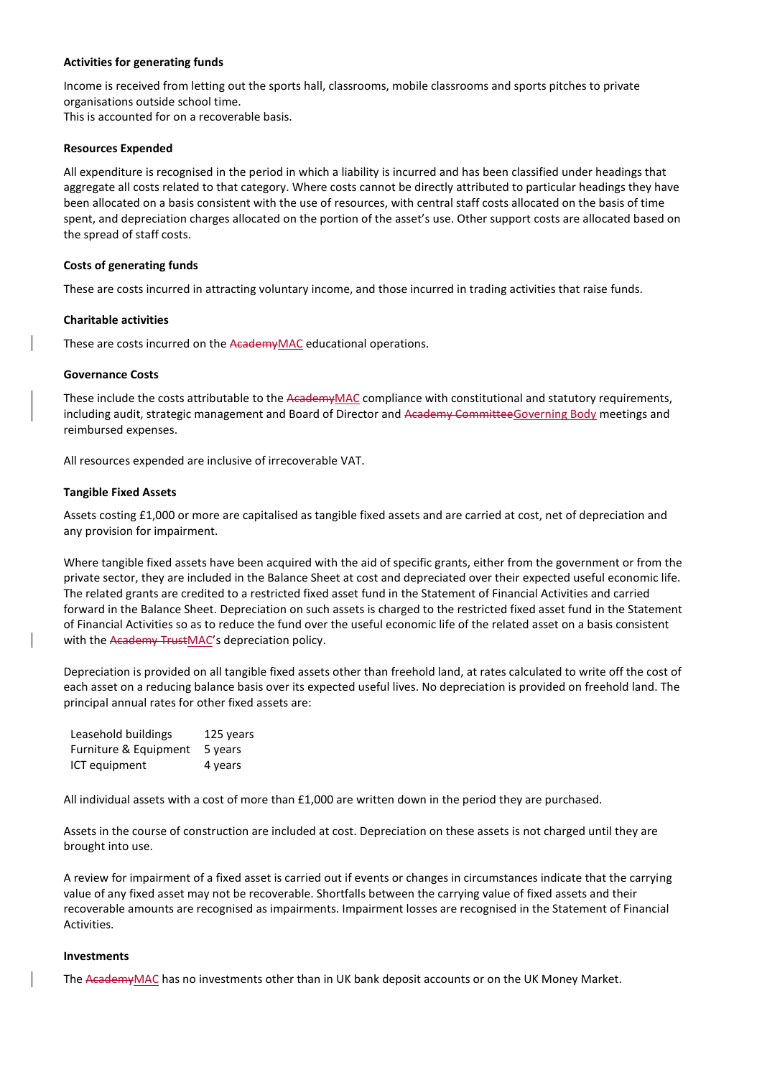### **Activities for generating funds**

Income is received from letting out the sports hall, classrooms, mobile classrooms and sports pitches to private organisations outside school time.

This is accounted for on a recoverable basis.

### **Resources Expended**

All expenditure is recognised in the period in which a liability is incurred and has been classified under headings that aggregate all costs related to that category. Where costs cannot be directly attributed to particular headings they have been allocated on a basis consistent with the use of resources, with central staff costs allocated on the basis of time spent, and depreciation charges allocated on the portion of the asset's use. Other support costs are allocated based on the spread of staff costs.

## **Costs of generating funds**

These are costs incurred in attracting voluntary income, and those incurred in trading activities that raise funds.

## **Charitable activities**

These are costs incurred on the AcademyMAC educational operations.

## **Governance Costs**

These include the costs attributable to the AcademyMAC compliance with constitutional and statutory requirements, including audit, strategic management and Board of Director and Academy CommitteeGoverning Body meetings and reimbursed expenses.

All resources expended are inclusive of irrecoverable VAT.

## **Tangible Fixed Assets**

Assets costing £1,000 or more are capitalised as tangible fixed assets and are carried at cost, net of depreciation and any provision for impairment.

Where tangible fixed assets have been acquired with the aid of specific grants, either from the government or from the private sector, they are included in the Balance Sheet at cost and depreciated over their expected useful economic life. The related grants are credited to a restricted fixed asset fund in the Statement of Financial Activities and carried forward in the Balance Sheet. Depreciation on such assets is charged to the restricted fixed asset fund in the Statement of Financial Activities so as to reduce the fund over the useful economic life of the related asset on a basis consistent with the Academy TrustMAC's depreciation policy.

Depreciation is provided on all tangible fixed assets other than freehold land, at rates calculated to write off the cost of each asset on a reducing balance basis over its expected useful lives. No depreciation is provided on freehold land. The principal annual rates for other fixed assets are:

| Leasehold buildings   | 125 years |
|-----------------------|-----------|
| Furniture & Equipment | 5 years   |
| ICT equipment         | 4 years   |

All individual assets with a cost of more than  $£1,000$  are written down in the period they are purchased.

Assets in the course of construction are included at cost. Depreciation on these assets is not charged until they are brought into use.

A review for impairment of a fixed asset is carried out if events or changes in circumstances indicate that the carrying value of any fixed asset may not be recoverable. Shortfalls between the carrying value of fixed assets and their recoverable amounts are recognised as impairments. Impairment losses are recognised in the Statement of Financial Activities.

# **Investments**

The AcademyMAC has no investments other than in UK bank deposit accounts or on the UK Money Market.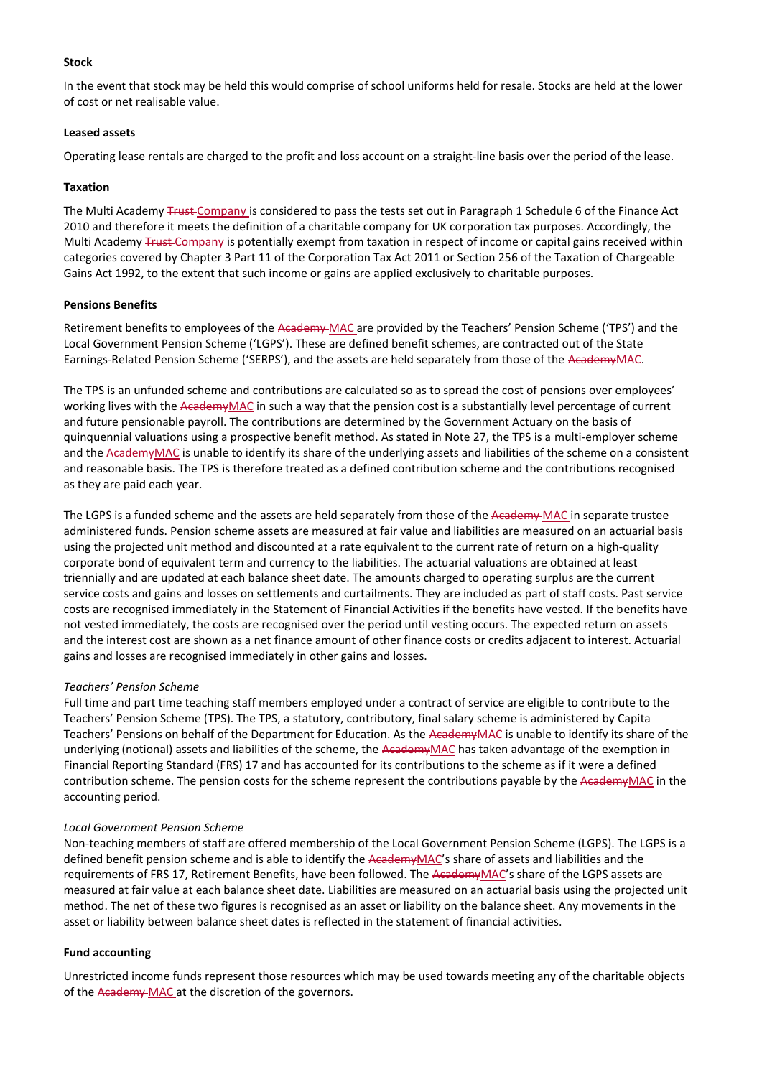#### **Stock**

In the event that stock may be held this would comprise of school uniforms held for resale. Stocks are held at the lower of cost or net realisable value.

### **Leased assets**

Operating lease rentals are charged to the profit and loss account on a straight-line basis over the period of the lease.

# **Taxation**

The Multi Academy Trust Company is considered to pass the tests set out in Paragraph 1 Schedule 6 of the Finance Act 2010 and therefore it meets the definition of a charitable company for UK corporation tax purposes. Accordingly, the Multi Academy Trust Company is potentially exempt from taxation in respect of income or capital gains received within categories covered by Chapter 3 Part 11 of the Corporation Tax Act 2011 or Section 256 of the Taxation of Chargeable Gains Act 1992, to the extent that such income or gains are applied exclusively to charitable purposes.

#### **Pensions Benefits**

Retirement benefits to employees of the Academy MAC are provided by the Teachers' Pension Scheme ('TPS') and the Local Government Pension Scheme ('LGPS'). These are defined benefit schemes, are contracted out of the State Earnings-Related Pension Scheme ('SERPS'), and the assets are held separately from those of the AcademyMAC.

The TPS is an unfunded scheme and contributions are calculated so as to spread the cost of pensions over employees' working lives with the AcademyMAC in such a way that the pension cost is a substantially level percentage of current and future pensionable payroll. The contributions are determined by the Government Actuary on the basis of quinquennial valuations using a prospective benefit method. As stated in Note 27, the TPS is a multi-employer scheme and the AcademyMAC is unable to identify its share of the underlying assets and liabilities of the scheme on a consistent and reasonable basis. The TPS is therefore treated as a defined contribution scheme and the contributions recognised as they are paid each year.

The LGPS is a funded scheme and the assets are held separately from those of the Academy MAC in separate trustee administered funds. Pension scheme assets are measured at fair value and liabilities are measured on an actuarial basis using the projected unit method and discounted at a rate equivalent to the current rate of return on a high-quality corporate bond of equivalent term and currency to the liabilities. The actuarial valuations are obtained at least triennially and are updated at each balance sheet date. The amounts charged to operating surplus are the current service costs and gains and losses on settlements and curtailments. They are included as part of staff costs. Past service costs are recognised immediately in the Statement of Financial Activities if the benefits have vested. If the benefits have not vested immediately, the costs are recognised over the period until vesting occurs. The expected return on assets and the interest cost are shown as a net finance amount of other finance costs or credits adjacent to interest. Actuarial gains and losses are recognised immediately in other gains and losses.

#### *Teachers' Pension Scheme*

Full time and part time teaching staff members employed under a contract of service are eligible to contribute to the Teachers' Pension Scheme (TPS). The TPS, a statutory, contributory, final salary scheme is administered by Capita Teachers' Pensions on behalf of the Department for Education. As the AcademyMAC is unable to identify its share of the underlying (notional) assets and liabilities of the scheme, the AcademyMAC has taken advantage of the exemption in Financial Reporting Standard (FRS) 17 and has accounted for its contributions to the scheme as if it were a defined contribution scheme. The pension costs for the scheme represent the contributions payable by the AcademyMAC in the accounting period.

#### *Local Government Pension Scheme*

Non-teaching members of staff are offered membership of the Local Government Pension Scheme (LGPS). The LGPS is a defined benefit pension scheme and is able to identify the AcademyMAC's share of assets and liabilities and the requirements of FRS 17, Retirement Benefits, have been followed. The AcademyMAC's share of the LGPS assets are measured at fair value at each balance sheet date. Liabilities are measured on an actuarial basis using the projected unit method. The net of these two figures is recognised as an asset or liability on the balance sheet. Any movements in the asset or liability between balance sheet dates is reflected in the statement of financial activities.

#### **Fund accounting**

Unrestricted income funds represent those resources which may be used towards meeting any of the charitable objects of the Academy MAC at the discretion of the governors.